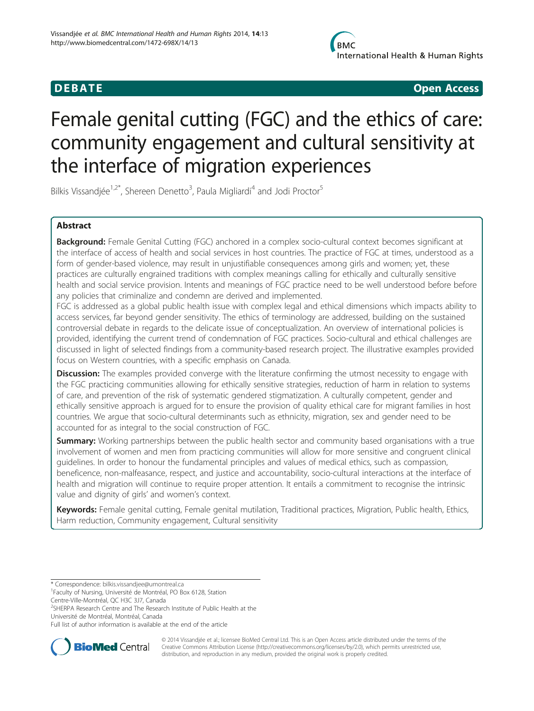**DEBATE CONSIDERED ACCESS OPEN ACCESS** 

# Female genital cutting (FGC) and the ethics of care: community engagement and cultural sensitivity at the interface of migration experiences

Bilkis Vissandjée<sup>1,2\*</sup>, Shereen Denetto<sup>3</sup>, Paula Migliardi<sup>4</sup> and Jodi Proctor<sup>5</sup>

# Abstract

Background: Female Genital Cutting (FGC) anchored in a complex socio-cultural context becomes significant at the interface of access of health and social services in host countries. The practice of FGC at times, understood as a form of gender-based violence, may result in unjustifiable consequences among girls and women; yet, these practices are culturally engrained traditions with complex meanings calling for ethically and culturally sensitive health and social service provision. Intents and meanings of FGC practice need to be well understood before before any policies that criminalize and condemn are derived and implemented.

FGC is addressed as a global public health issue with complex legal and ethical dimensions which impacts ability to access services, far beyond gender sensitivity. The ethics of terminology are addressed, building on the sustained controversial debate in regards to the delicate issue of conceptualization. An overview of international policies is provided, identifying the current trend of condemnation of FGC practices. Socio-cultural and ethical challenges are discussed in light of selected findings from a community-based research project. The illustrative examples provided focus on Western countries, with a specific emphasis on Canada.

Discussion: The examples provided converge with the literature confirming the utmost necessity to engage with the FGC practicing communities allowing for ethically sensitive strategies, reduction of harm in relation to systems of care, and prevention of the risk of systematic gendered stigmatization. A culturally competent, gender and ethically sensitive approach is argued for to ensure the provision of quality ethical care for migrant families in host countries. We argue that socio-cultural determinants such as ethnicity, migration, sex and gender need to be accounted for as integral to the social construction of FGC.

**Summary:** Working partnerships between the public health sector and community based organisations with a true involvement of women and men from practicing communities will allow for more sensitive and congruent clinical guidelines. In order to honour the fundamental principles and values of medical ethics, such as compassion, beneficence, non-malfeasance, respect, and justice and accountability, socio-cultural interactions at the interface of health and migration will continue to require proper attention. It entails a commitment to recognise the intrinsic value and dignity of girls' and women's context.

Keywords: Female genital cutting, Female genital mutilation, Traditional practices, Migration, Public health, Ethics, Harm reduction, Community engagement, Cultural sensitivity

Centre-Ville-Montréal, QC H3C 3J7, Canada

<sup>2</sup>SHERPA Research Centre and The Research Institute of Public Health at the Université de Montréal, Montréal, Canada

Full list of author information is available at the end of the article



© 2014 Vissandjée et al.; licensee BioMed Central Ltd. This is an Open Access article distributed under the terms of the Creative Commons Attribution License (<http://creativecommons.org/licenses/by/2.0>), which permits unrestricted use, distribution, and reproduction in any medium, provided the original work is properly credited.

<sup>\*</sup> Correspondence: [bilkis.vissandjee@umontreal.ca](mailto:bilkis.vissandjee@umontreal.ca) <sup>1</sup>

<sup>&</sup>lt;sup>1</sup> Faculty of Nursing, Université de Montréal, PO Box 6128, Station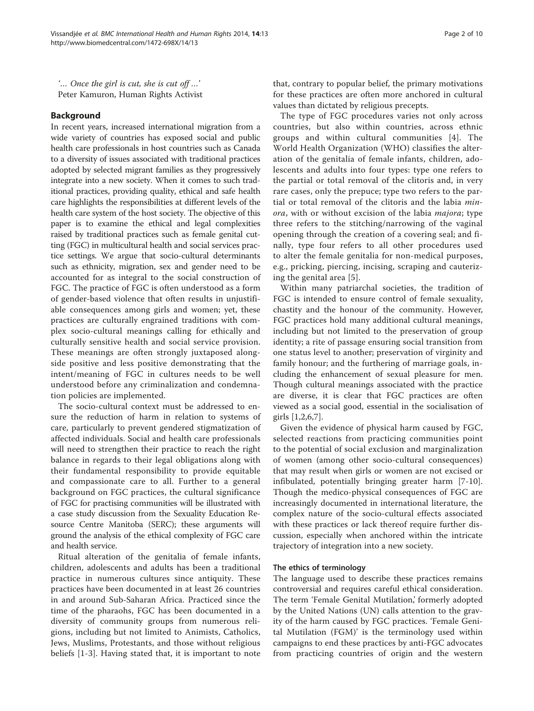'… Once the girl is cut, she is cut off …' Peter Kamuron, Human Rights Activist

#### Background

In recent years, increased international migration from a wide variety of countries has exposed social and public health care professionals in host countries such as Canada to a diversity of issues associated with traditional practices adopted by selected migrant families as they progressively integrate into a new society. When it comes to such traditional practices, providing quality, ethical and safe health care highlights the responsibilities at different levels of the health care system of the host society. The objective of this paper is to examine the ethical and legal complexities raised by traditional practices such as female genital cutting (FGC) in multicultural health and social services practice settings. We argue that socio-cultural determinants such as ethnicity, migration, sex and gender need to be accounted for as integral to the social construction of FGC. The practice of FGC is often understood as a form of gender-based violence that often results in unjustifiable consequences among girls and women; yet, these practices are culturally engrained traditions with complex socio-cultural meanings calling for ethically and culturally sensitive health and social service provision. These meanings are often strongly juxtaposed alongside positive and less positive demonstrating that the intent/meaning of FGC in cultures needs to be well understood before any criminalization and condemnation policies are implemented.

The socio-cultural context must be addressed to ensure the reduction of harm in relation to systems of care, particularly to prevent gendered stigmatization of affected individuals. Social and health care professionals will need to strengthen their practice to reach the right balance in regards to their legal obligations along with their fundamental responsibility to provide equitable and compassionate care to all. Further to a general background on FGC practices, the cultural significance of FGC for practising communities will be illustrated with a case study discussion from the Sexuality Education Resource Centre Manitoba (SERC); these arguments will ground the analysis of the ethical complexity of FGC care and health service.

Ritual alteration of the genitalia of female infants, children, adolescents and adults has been a traditional practice in numerous cultures since antiquity. These practices have been documented in at least 26 countries in and around Sub-Saharan Africa. Practiced since the time of the pharaohs, FGC has been documented in a diversity of community groups from numerous religions, including but not limited to Animists, Catholics, Jews, Muslims, Protestants, and those without religious beliefs [[1-3](#page-8-0)]. Having stated that, it is important to note

that, contrary to popular belief, the primary motivations for these practices are often more anchored in cultural values than dictated by religious precepts.

The type of FGC procedures varies not only across countries, but also within countries, across ethnic groups and within cultural communities [[4](#page-8-0)]. The World Health Organization (WHO) classifies the alteration of the genitalia of female infants, children, adolescents and adults into four types: type one refers to the partial or total removal of the clitoris and, in very rare cases, only the prepuce; type two refers to the partial or total removal of the clitoris and the labia minora, with or without excision of the labia majora; type three refers to the stitching/narrowing of the vaginal opening through the creation of a covering seal; and finally, type four refers to all other procedures used to alter the female genitalia for non-medical purposes, e.g., pricking, piercing, incising, scraping and cauterizing the genital area [[5\]](#page-8-0).

Within many patriarchal societies, the tradition of FGC is intended to ensure control of female sexuality, chastity and the honour of the community. However, FGC practices hold many additional cultural meanings, including but not limited to the preservation of group identity; a rite of passage ensuring social transition from one status level to another; preservation of virginity and family honour; and the furthering of marriage goals, including the enhancement of sexual pleasure for men. Though cultural meanings associated with the practice are diverse, it is clear that FGC practices are often viewed as a social good, essential in the socialisation of girls [\[1](#page-8-0),[2,6,7](#page-8-0)].

Given the evidence of physical harm caused by FGC, selected reactions from practicing communities point to the potential of social exclusion and marginalization of women (among other socio-cultural consequences) that may result when girls or women are not excised or infibulated, potentially bringing greater harm [\[7-10](#page-8-0)]. Though the medico-physical consequences of FGC are increasingly documented in international literature, the complex nature of the socio-cultural effects associated with these practices or lack thereof require further discussion, especially when anchored within the intricate trajectory of integration into a new society.

#### The ethics of terminology

The language used to describe these practices remains controversial and requires careful ethical consideration. The term 'Female Genital Mutilation,' formerly adopted by the United Nations (UN) calls attention to the gravity of the harm caused by FGC practices. 'Female Genital Mutilation (FGM)' is the terminology used within campaigns to end these practices by anti-FGC advocates from practicing countries of origin and the western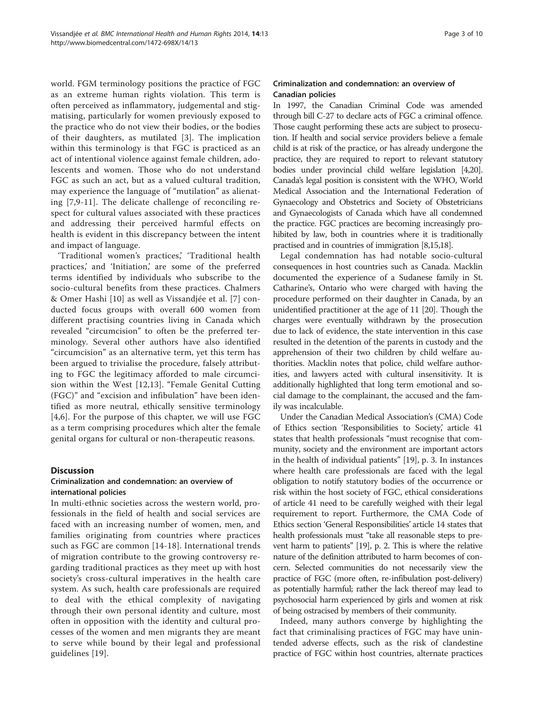world. FGM terminology positions the practice of FGC as an extreme human rights violation. This term is often perceived as inflammatory, judgemental and stigmatising, particularly for women previously exposed to the practice who do not view their bodies, or the bodies of their daughters, as mutilated [[3\]](#page-8-0). The implication within this terminology is that FGC is practiced as an act of intentional violence against female children, adolescents and women. Those who do not understand FGC as such an act, but as a valued cultural tradition, may experience the language of "mutilation" as alienating [\[7](#page-8-0),[9-11\]](#page-8-0). The delicate challenge of reconciling respect for cultural values associated with these practices and addressing their perceived harmful effects on health is evident in this discrepancy between the intent and impact of language.

'Traditional women's practices,' 'Traditional health practices,' and 'Initiation,' are some of the preferred terms identified by individuals who subscribe to the socio-cultural benefits from these practices. Chalmers & Omer Hashi [[10\]](#page-8-0) as well as Vissandjée et al. [[7](#page-8-0)] conducted focus groups with overall 600 women from different practising countries living in Canada which revealed "circumcision" to often be the preferred terminology. Several other authors have also identified "circumcision" as an alternative term, yet this term has been argued to trivialise the procedure, falsely attributing to FGC the legitimacy afforded to male circumcision within the West [[12,13](#page-8-0)]. "Female Genital Cutting (FGC)" and "excision and infibulation" have been identified as more neutral, ethically sensitive terminology [[4,6](#page-8-0)]. For the purpose of this chapter, we will use FGC as a term comprising procedures which alter the female genital organs for cultural or non-therapeutic reasons.

# **Discussion**

# Criminalization and condemnation: an overview of international policies

In multi-ethnic societies across the western world, professionals in the field of health and social services are faced with an increasing number of women, men, and families originating from countries where practices such as FGC are common [[14](#page-8-0)-[18](#page-8-0)]. International trends of migration contribute to the growing controversy regarding traditional practices as they meet up with host society's cross-cultural imperatives in the health care system. As such, health care professionals are required to deal with the ethical complexity of navigating through their own personal identity and culture, most often in opposition with the identity and cultural processes of the women and men migrants they are meant to serve while bound by their legal and professional guidelines [[19\]](#page-8-0).

# Criminalization and condemnation: an overview of Canadian policies

In 1997, the Canadian Criminal Code was amended through bill C-27 to declare acts of FGC a criminal offence. Those caught performing these acts are subject to prosecution. If health and social service providers believe a female child is at risk of the practice, or has already undergone the practice, they are required to report to relevant statutory bodies under provincial child welfare legislation [\[4,20](#page-8-0)]. Canada's legal position is consistent with the WHO, World Medical Association and the International Federation of Gynaecology and Obstetrics and Society of Obstetricians and Gynaecologists of Canada which have all condemned the practice. FGC practices are becoming increasingly prohibited by law, both in countries where it is traditionally practised and in countries of immigration [\[8,15,18](#page-8-0)].

Legal condemnation has had notable socio-cultural consequences in host countries such as Canada. Macklin documented the experience of a Sudanese family in St. Catharine's, Ontario who were charged with having the procedure performed on their daughter in Canada, by an unidentified practitioner at the age of 11 [[20](#page-8-0)]. Though the charges were eventually withdrawn by the prosecution due to lack of evidence, the state intervention in this case resulted in the detention of the parents in custody and the apprehension of their two children by child welfare authorities. Macklin notes that police, child welfare authorities, and lawyers acted with cultural insensitivity. It is additionally highlighted that long term emotional and social damage to the complainant, the accused and the family was incalculable.

Under the Canadian Medical Association's (CMA) Code of Ethics section 'Responsibilities to Society,' article 41 states that health professionals "must recognise that community, society and the environment are important actors in the health of individual patients" [[19](#page-8-0)], p. 3. In instances where health care professionals are faced with the legal obligation to notify statutory bodies of the occurrence or risk within the host society of FGC, ethical considerations of article 41 need to be carefully weighed with their legal requirement to report. Furthermore, the CMA Code of Ethics section 'General Responsibilities' article 14 states that health professionals must "take all reasonable steps to prevent harm to patients" [\[19\]](#page-8-0), p. 2. This is where the relative nature of the definition attributed to harm becomes of concern. Selected communities do not necessarily view the practice of FGC (more often, re-infibulation post-delivery) as potentially harmful; rather the lack thereof may lead to psychosocial harm experienced by girls and women at risk of being ostracised by members of their community.

Indeed, many authors converge by highlighting the fact that criminalising practices of FGC may have unintended adverse effects, such as the risk of clandestine practice of FGC within host countries, alternate practices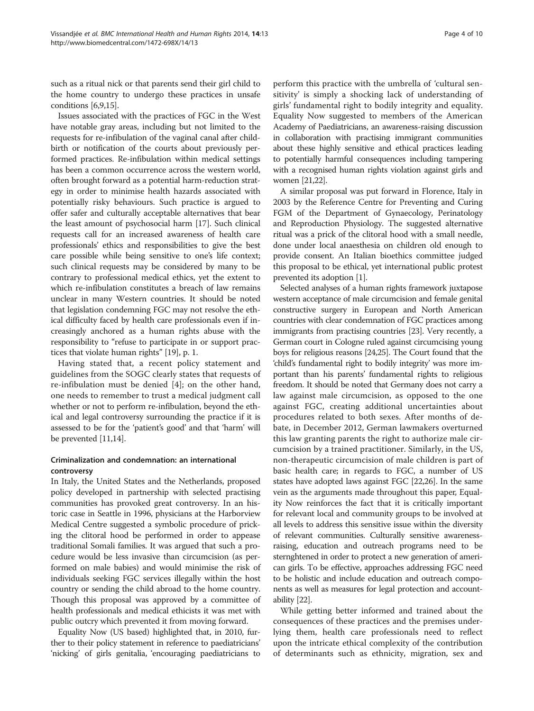such as a ritual nick or that parents send their girl child to the home country to undergo these practices in unsafe conditions [\[6,9,15\]](#page-8-0).

Issues associated with the practices of FGC in the West have notable gray areas, including but not limited to the requests for re-infibulation of the vaginal canal after childbirth or notification of the courts about previously performed practices. Re-infibulation within medical settings has been a common occurrence across the western world, often brought forward as a potential harm-reduction strategy in order to minimise health hazards associated with potentially risky behaviours. Such practice is argued to offer safer and culturally acceptable alternatives that bear the least amount of psychosocial harm [\[17\]](#page-8-0). Such clinical requests call for an increased awareness of health care professionals' ethics and responsibilities to give the best care possible while being sensitive to one's life context; such clinical requests may be considered by many to be contrary to professional medical ethics, yet the extent to which re-infibulation constitutes a breach of law remains unclear in many Western countries. It should be noted that legislation condemning FGC may not resolve the ethical difficulty faced by health care professionals even if increasingly anchored as a human rights abuse with the responsibility to "refuse to participate in or support practices that violate human rights" [[19](#page-8-0)], p. 1.

Having stated that, a recent policy statement and guidelines from the SOGC clearly states that requests of re-infibulation must be denied [[4\]](#page-8-0); on the other hand, one needs to remember to trust a medical judgment call whether or not to perform re-infibulation, beyond the ethical and legal controversy surrounding the practice if it is assessed to be for the 'patient's good' and that 'harm' will be prevented [\[11,14](#page-8-0)].

# Criminalization and condemnation: an international controversy

In Italy, the United States and the Netherlands, proposed policy developed in partnership with selected practising communities has provoked great controversy. In an historic case in Seattle in 1996, physicians at the Harborview Medical Centre suggested a symbolic procedure of pricking the clitoral hood be performed in order to appease traditional Somali families. It was argued that such a procedure would be less invasive than circumcision (as performed on male babies) and would minimise the risk of individuals seeking FGC services illegally within the host country or sending the child abroad to the home country. Though this proposal was approved by a committee of health professionals and medical ethicists it was met with public outcry which prevented it from moving forward.

Equality Now (US based) highlighted that, in 2010, further to their policy statement in reference to paediatricians' 'nicking' of girls genitalia, 'encouraging paediatricians to

perform this practice with the umbrella of 'cultural sensitivity' is simply a shocking lack of understanding of girls' fundamental right to bodily integrity and equality. Equality Now suggested to members of the American Academy of Paediatricians, an awareness-raising discussion in collaboration with practising immigrant communities about these highly sensitive and ethical practices leading to potentially harmful consequences including tampering with a recognised human rights violation against girls and women [\[21,22](#page-8-0)].

A similar proposal was put forward in Florence, Italy in 2003 by the Reference Centre for Preventing and Curing FGM of the Department of Gynaecology, Perinatology and Reproduction Physiology. The suggested alternative ritual was a prick of the clitoral hood with a small needle, done under local anaesthesia on children old enough to provide consent. An Italian bioethics committee judged this proposal to be ethical, yet international public protest prevented its adoption [\[1\]](#page-8-0).

Selected analyses of a human rights framework juxtapose western acceptance of male circumcision and female genital constructive surgery in European and North American countries with clear condemnation of FGC practices among immigrants from practising countries [[23](#page-8-0)]. Very recently, a German court in Cologne ruled against circumcising young boys for religious reasons [[24,25\]](#page-8-0). The Court found that the 'child's fundamental right to bodily integrity' was more important than his parents' fundamental rights to religious freedom. It should be noted that Germany does not carry a law against male circumcision, as opposed to the one against FGC, creating additional uncertainties about procedures related to both sexes. After months of debate, in December 2012, German lawmakers overturned this law granting parents the right to authorize male circumcision by a trained practitioner. Similarly, in the US, non-therapeutic circumcision of male children is part of basic health care; in regards to FGC, a number of US states have adopted laws against FGC [[22,26](#page-8-0)]. In the same vein as the arguments made throughout this paper, Equality Now reinforces the fact that it is critically important for relevant local and community groups to be involved at all levels to address this sensitive issue within the diversity of relevant communities. Culturally sensitive awarenessraising, education and outreach programs need to be sternghtened in order to protect a new generation of american girls. To be effective, approaches addressing FGC need to be holistic and include education and outreach components as well as measures for legal protection and accountability [[22](#page-8-0)].

While getting better informed and trained about the consequences of these practices and the premises underlying them, health care professionals need to reflect upon the intricate ethical complexity of the contribution of determinants such as ethnicity, migration, sex and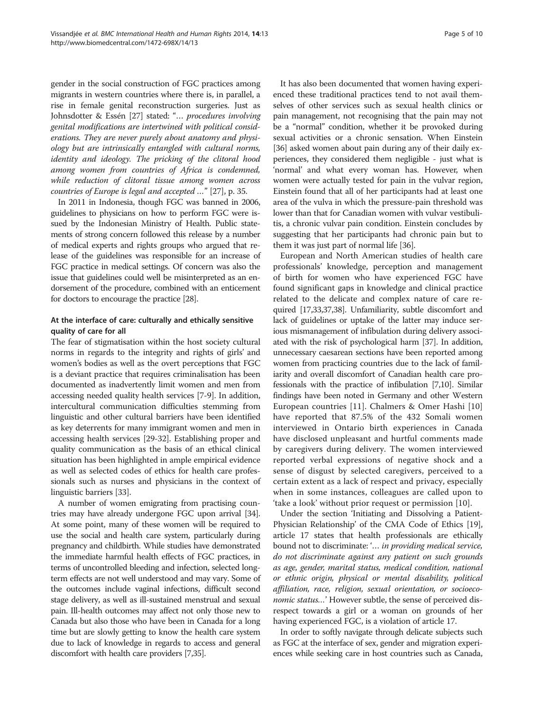gender in the social construction of FGC practices among migrants in western countries where there is, in parallel, a rise in female genital reconstruction surgeries. Just as Johnsdotter & Essén [\[27\]](#page-8-0) stated: "… procedures involving genital modifications are intertwined with political considerations. They are never purely about anatomy and physiology but are intrinsically entangled with cultural norms, identity and ideology. The pricking of the clitoral hood among women from countries of Africa is condemned, while reduction of clitoral tissue among women across countries of Europe is legal and accepted …" [\[27\]](#page-8-0), p. 35.

In 2011 in Indonesia, though FGC was banned in 2006, guidelines to physicians on how to perform FGC were issued by the Indonesian Ministry of Health. Public statements of strong concern followed this release by a number of medical experts and rights groups who argued that release of the guidelines was responsible for an increase of FGC practice in medical settings. Of concern was also the issue that guidelines could well be misinterpreted as an endorsement of the procedure, combined with an enticement for doctors to encourage the practice [\[28](#page-8-0)].

# At the interface of care: culturally and ethically sensitive quality of care for all

The fear of stigmatisation within the host society cultural norms in regards to the integrity and rights of girls' and women's bodies as well as the overt perceptions that FGC is a deviant practice that requires criminalisation has been documented as inadvertently limit women and men from accessing needed quality health services [[7-9\]](#page-8-0). In addition, intercultural communication difficulties stemming from linguistic and other cultural barriers have been identified as key deterrents for many immigrant women and men in accessing health services [[29-32\]](#page-8-0). Establishing proper and quality communication as the basis of an ethical clinical situation has been highlighted in ample empirical evidence as well as selected codes of ethics for health care professionals such as nurses and physicians in the context of linguistic barriers [[33](#page-8-0)].

A number of women emigrating from practising countries may have already undergone FGC upon arrival [\[34](#page-8-0)]. At some point, many of these women will be required to use the social and health care system, particularly during pregnancy and childbirth. While studies have demonstrated the immediate harmful health effects of FGC practices, in terms of uncontrolled bleeding and infection, selected longterm effects are not well understood and may vary. Some of the outcomes include vaginal infections, difficult second stage delivery, as well as ill-sustained menstrual and sexual pain. Ill-health outcomes may affect not only those new to Canada but also those who have been in Canada for a long time but are slowly getting to know the health care system due to lack of knowledge in regards to access and general discomfort with health care providers [[7,35\]](#page-8-0).

It has also been documented that women having experienced these traditional practices tend to not avail themselves of other services such as sexual health clinics or pain management, not recognising that the pain may not be a "normal" condition, whether it be provoked during sexual activities or a chronic sensation. When Einstein [[36](#page-8-0)] asked women about pain during any of their daily experiences, they considered them negligible - just what is 'normal' and what every woman has. However, when women were actually tested for pain in the vulvar region, Einstein found that all of her participants had at least one area of the vulva in which the pressure-pain threshold was lower than that for Canadian women with vulvar vestibulitis, a chronic vulvar pain condition. Einstein concludes by suggesting that her participants had chronic pain but to them it was just part of normal life [[36](#page-8-0)].

European and North American studies of health care professionals' knowledge, perception and management of birth for women who have experienced FGC have found significant gaps in knowledge and clinical practice related to the delicate and complex nature of care required [[17,33,](#page-8-0)[37,38\]](#page-9-0). Unfamiliarity, subtle discomfort and lack of guidelines or uptake of the latter may induce serious mismanagement of infibulation during delivery associated with the risk of psychological harm [\[37\]](#page-9-0). In addition, unnecessary caesarean sections have been reported among women from practicing countries due to the lack of familiarity and overall discomfort of Canadian health care professionals with the practice of infibulation [[7,10](#page-8-0)]. Similar findings have been noted in Germany and other Western European countries [[11\]](#page-8-0). Chalmers & Omer Hashi [\[10](#page-8-0)] have reported that 87.5% of the 432 Somali women interviewed in Ontario birth experiences in Canada have disclosed unpleasant and hurtful comments made by caregivers during delivery. The women interviewed reported verbal expressions of negative shock and a sense of disgust by selected caregivers, perceived to a certain extent as a lack of respect and privacy, especially when in some instances, colleagues are called upon to 'take a look' without prior request or permission [\[10](#page-8-0)].

Under the section 'Initiating and Dissolving a Patient-Physician Relationship' of the CMA Code of Ethics [[19](#page-8-0)], article 17 states that health professionals are ethically bound not to discriminate: '... *in providing medical service*, do not discriminate against any patient on such grounds as age, gender, marital status, medical condition, national or ethnic origin, physical or mental disability, political affiliation, race, religion, sexual orientation, or socioeconomic status...' However subtle, the sense of perceived disrespect towards a girl or a woman on grounds of her having experienced FGC, is a violation of article 17.

In order to softly navigate through delicate subjects such as FGC at the interface of sex, gender and migration experiences while seeking care in host countries such as Canada,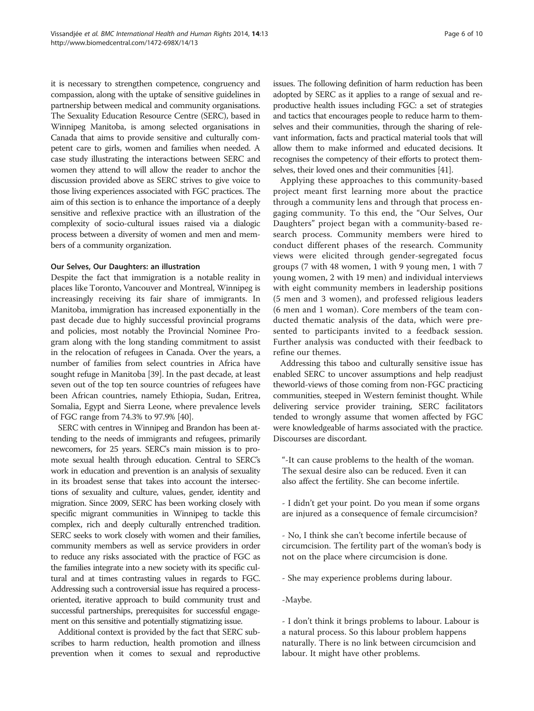it is necessary to strengthen competence, congruency and compassion, along with the uptake of sensitive guidelines in partnership between medical and community organisations. The Sexuality Education Resource Centre (SERC), based in Winnipeg Manitoba, is among selected organisations in Canada that aims to provide sensitive and culturally competent care to girls, women and families when needed. A case study illustrating the interactions between SERC and women they attend to will allow the reader to anchor the discussion provided above as SERC strives to give voice to those living experiences associated with FGC practices. The aim of this section is to enhance the importance of a deeply sensitive and reflexive practice with an illustration of the complexity of socio-cultural issues raised via a dialogic process between a diversity of women and men and members of a community organization.

### Our Selves, Our Daughters: an illustration

Despite the fact that immigration is a notable reality in places like Toronto, Vancouver and Montreal, Winnipeg is increasingly receiving its fair share of immigrants. In Manitoba, immigration has increased exponentially in the past decade due to highly successful provincial programs and policies, most notably the Provincial Nominee Program along with the long standing commitment to assist in the relocation of refugees in Canada. Over the years, a number of families from select countries in Africa have sought refuge in Manitoba [\[39\]](#page-9-0). In the past decade, at least seven out of the top ten source countries of refugees have been African countries, namely Ethiopia, Sudan, Eritrea, Somalia, Egypt and Sierra Leone, where prevalence levels of FGC range from 74.3% to 97.9% [\[40\]](#page-9-0).

SERC with centres in Winnipeg and Brandon has been attending to the needs of immigrants and refugees, primarily newcomers, for 25 years. SERC's main mission is to promote sexual health through education. Central to SERC's work in education and prevention is an analysis of sexuality in its broadest sense that takes into account the intersections of sexuality and culture, values, gender, identity and migration. Since 2009, SERC has been working closely with specific migrant communities in Winnipeg to tackle this complex, rich and deeply culturally entrenched tradition. SERC seeks to work closely with women and their families, community members as well as service providers in order to reduce any risks associated with the practice of FGC as the families integrate into a new society with its specific cultural and at times contrasting values in regards to FGC. Addressing such a controversial issue has required a processoriented, iterative approach to build community trust and successful partnerships, prerequisites for successful engagement on this sensitive and potentially stigmatizing issue.

Additional context is provided by the fact that SERC subscribes to harm reduction, health promotion and illness prevention when it comes to sexual and reproductive

issues. The following definition of harm reduction has been adopted by SERC as it applies to a range of sexual and reproductive health issues including FGC: a set of strategies and tactics that encourages people to reduce harm to themselves and their communities, through the sharing of relevant information, facts and practical material tools that will allow them to make informed and educated decisions. It recognises the competency of their efforts to protect themselves, their loved ones and their communities [\[41\]](#page-9-0).

Applying these approaches to this community-based project meant first learning more about the practice through a community lens and through that process engaging community. To this end, the "Our Selves, Our Daughters" project began with a community-based research process. Community members were hired to conduct different phases of the research. Community views were elicited through gender-segregated focus groups (7 with 48 women, 1 with 9 young men, 1 with 7 young women, 2 with 19 men) and individual interviews with eight community members in leadership positions (5 men and 3 women), and professed religious leaders (6 men and 1 woman). Core members of the team conducted thematic analysis of the data, which were presented to participants invited to a feedback session. Further analysis was conducted with their feedback to refine our themes.

Addressing this taboo and culturally sensitive issue has enabled SERC to uncover assumptions and help readjust theworld-views of those coming from non-FGC practicing communities, steeped in Western feminist thought. While delivering service provider training, SERC facilitators tended to wrongly assume that women affected by FGC were knowledgeable of harms associated with the practice. Discourses are discordant.

"-It can cause problems to the health of the woman. The sexual desire also can be reduced. Even it can also affect the fertility. She can become infertile.

- I didn't get your point. Do you mean if some organs are injured as a consequence of female circumcision?

- No, I think she can't become infertile because of circumcision. The fertility part of the woman's body is not on the place where circumcision is done.

- She may experience problems during labour.

-Maybe.

- I don't think it brings problems to labour. Labour is a natural process. So this labour problem happens naturally. There is no link between circumcision and labour. It might have other problems.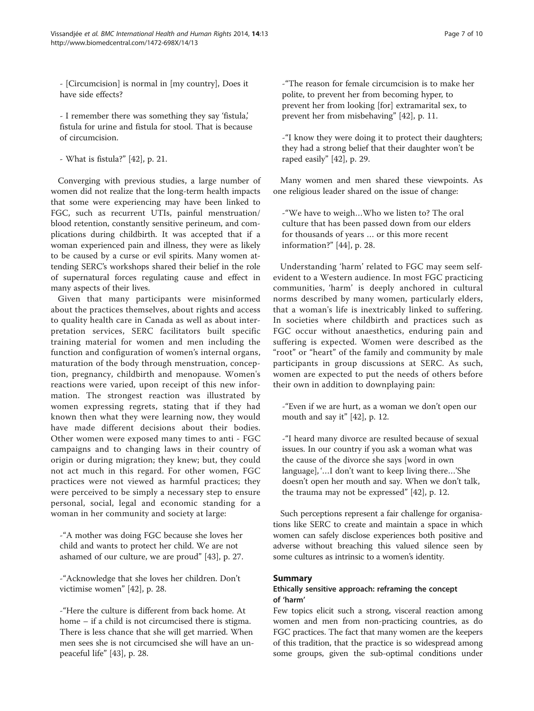- [Circumcision] is normal in [my country], Does it have side effects?

- I remember there was something they say 'fistula,' fistula for urine and fistula for stool. That is because of circumcision.

- What is fistula?" [\[42](#page-9-0)], p. 21.

Converging with previous studies, a large number of women did not realize that the long-term health impacts that some were experiencing may have been linked to FGC, such as recurrent UTIs, painful menstruation/ blood retention, constantly sensitive perineum, and complications during childbirth. It was accepted that if a woman experienced pain and illness, they were as likely to be caused by a curse or evil spirits. Many women attending SERC's workshops shared their belief in the role of supernatural forces regulating cause and effect in many aspects of their lives.

Given that many participants were misinformed about the practices themselves, about rights and access to quality health care in Canada as well as about interpretation services, SERC facilitators built specific training material for women and men including the function and configuration of women's internal organs, maturation of the body through menstruation, conception, pregnancy, childbirth and menopause. Women's reactions were varied, upon receipt of this new information. The strongest reaction was illustrated by women expressing regrets, stating that if they had known then what they were learning now, they would have made different decisions about their bodies. Other women were exposed many times to anti - FGC campaigns and to changing laws in their country of origin or during migration; they knew; but, they could not act much in this regard. For other women, FGC practices were not viewed as harmful practices; they were perceived to be simply a necessary step to ensure personal, social, legal and economic standing for a woman in her community and society at large:

-"A mother was doing FGC because she loves her child and wants to protect her child. We are not ashamed of our culture, we are proud" [\[43\]](#page-9-0), p. 27.

-"Acknowledge that she loves her children. Don't victimise women" [\[42](#page-9-0)], p. 28.

-"Here the culture is different from back home. At home – if a child is not circumcised there is stigma. There is less chance that she will get married. When men sees she is not circumcised she will have an unpeaceful life" [\[43](#page-9-0)], p. 28.

-"The reason for female circumcision is to make her polite, to prevent her from becoming hyper, to prevent her from looking [for] extramarital sex, to prevent her from misbehaving" [\[42\]](#page-9-0), p. 11.

-"I know they were doing it to protect their daughters; they had a strong belief that their daughter won't be raped easily" [\[42](#page-9-0)], p. 29.

Many women and men shared these viewpoints. As one religious leader shared on the issue of change:

-"We have to weigh…Who we listen to? The oral culture that has been passed down from our elders for thousands of years … or this more recent information?" [[44\]](#page-9-0), p. 28.

Understanding 'harm' related to FGC may seem selfevident to a Western audience. In most FGC practicing communities, 'harm' is deeply anchored in cultural norms described by many women, particularly elders, that a woman's life is inextricably linked to suffering. In societies where childbirth and practices such as FGC occur without anaesthetics, enduring pain and suffering is expected. Women were described as the "root" or "heart" of the family and community by male participants in group discussions at SERC. As such, women are expected to put the needs of others before their own in addition to downplaying pain:

-"Even if we are hurt, as a woman we don't open our mouth and say it" [[42](#page-9-0)], p. 12.

-"I heard many divorce are resulted because of sexual issues. In our country if you ask a woman what was the cause of the divorce she says [word in own language], '…I don't want to keep living there…'She doesn't open her mouth and say. When we don't talk, the trauma may not be expressed" [[42\]](#page-9-0), p. 12.

Such perceptions represent a fair challenge for organisations like SERC to create and maintain a space in which women can safely disclose experiences both positive and adverse without breaching this valued silence seen by some cultures as intrinsic to a women's identity.

# Summary

# Ethically sensitive approach: reframing the concept of 'harm'

Few topics elicit such a strong, visceral reaction among women and men from non-practicing countries, as do FGC practices. The fact that many women are the keepers of this tradition, that the practice is so widespread among some groups, given the sub-optimal conditions under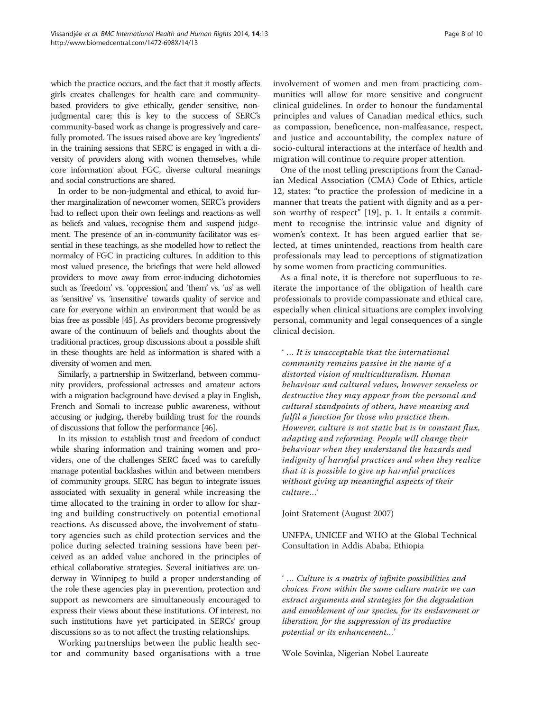which the practice occurs, and the fact that it mostly affects girls creates challenges for health care and communitybased providers to give ethically, gender sensitive, nonjudgmental care; this is key to the success of SERC's community-based work as change is progressively and carefully promoted. The issues raised above are key 'ingredients' in the training sessions that SERC is engaged in with a diversity of providers along with women themselves, while core information about FGC, diverse cultural meanings and social constructions are shared.

In order to be non-judgmental and ethical, to avoid further marginalization of newcomer women, SERC's providers had to reflect upon their own feelings and reactions as well as beliefs and values, recognise them and suspend judgement. The presence of an in-community facilitator was essential in these teachings, as she modelled how to reflect the normalcy of FGC in practicing cultures. In addition to this most valued presence, the briefings that were held allowed providers to move away from error-inducing dichotomies such as 'freedom' vs. 'oppression' and 'them' vs. 'us' as well as 'sensitive' vs. 'insensitive' towards quality of service and care for everyone within an environment that would be as bias free as possible [[45](#page-9-0)]. As providers become progressively aware of the continuum of beliefs and thoughts about the traditional practices, group discussions about a possible shift in these thoughts are held as information is shared with a diversity of women and men.

Similarly, a partnership in Switzerland, between community providers, professional actresses and amateur actors with a migration background have devised a play in English, French and Somali to increase public awareness, without accusing or judging, thereby building trust for the rounds of discussions that follow the performance [\[46](#page-9-0)].

In its mission to establish trust and freedom of conduct while sharing information and training women and providers, one of the challenges SERC faced was to carefully manage potential backlashes within and between members of community groups. SERC has begun to integrate issues associated with sexuality in general while increasing the time allocated to the training in order to allow for sharing and building constructively on potential emotional reactions. As discussed above, the involvement of statutory agencies such as child protection services and the police during selected training sessions have been perceived as an added value anchored in the principles of ethical collaborative strategies. Several initiatives are underway in Winnipeg to build a proper understanding of the role these agencies play in prevention, protection and support as newcomers are simultaneously encouraged to express their views about these institutions. Of interest, no such institutions have yet participated in SERCs' group discussions so as to not affect the trusting relationships.

Working partnerships between the public health sector and community based organisations with a true involvement of women and men from practicing communities will allow for more sensitive and congruent clinical guidelines. In order to honour the fundamental principles and values of Canadian medical ethics, such as compassion, beneficence, non-malfeasance, respect, and justice and accountability, the complex nature of socio-cultural interactions at the interface of health and migration will continue to require proper attention.

One of the most telling prescriptions from the Canadian Medical Association (CMA) Code of Ethics, article 12, states: "to practice the profession of medicine in a manner that treats the patient with dignity and as a person worthy of respect" [[19\]](#page-8-0), p. 1. It entails a commitment to recognise the intrinsic value and dignity of women's context. It has been argued earlier that selected, at times unintended, reactions from health care professionals may lead to perceptions of stigmatization by some women from practicing communities.

As a final note, it is therefore not superfluous to reiterate the importance of the obligation of health care professionals to provide compassionate and ethical care, especially when clinical situations are complex involving personal, community and legal consequences of a single clinical decision.

' … It is unacceptable that the international community remains passive in the name of a distorted vision of multiculturalism. Human behaviour and cultural values, however senseless or destructive they may appear from the personal and cultural standpoints of others, have meaning and fulfil a function for those who practice them. However, culture is not static but is in constant flux, adapting and reforming. People will change their behaviour when they understand the hazards and indignity of harmful practices and when they realize that it is possible to give up harmful practices without giving up meaningful aspects of their culture…'

Joint Statement (August 2007)

UNFPA, UNICEF and WHO at the Global Technical Consultation in Addis Ababa, Ethiopia

' … Culture is a matrix of infinite possibilities and choices. From within the same culture matrix we can extract arguments and strategies for the degradation and ennoblement of our species, for its enslavement or liberation, for the suppression of its productive potential or its enhancement...

Wole Sovinka, Nigerian Nobel Laureate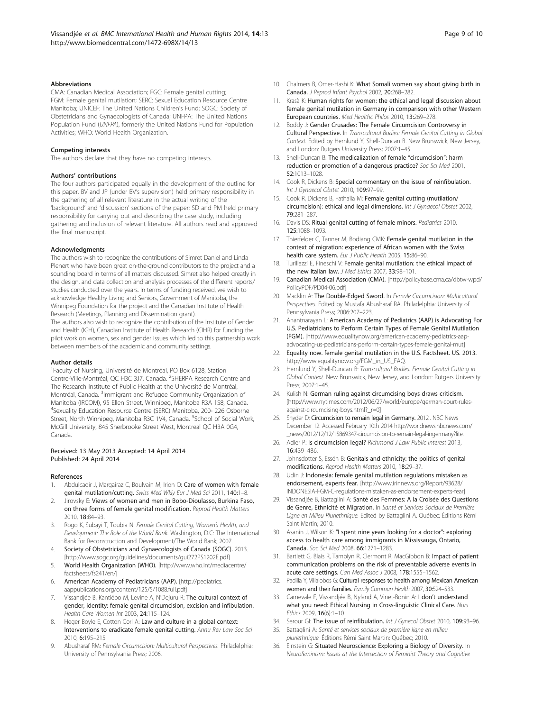#### <span id="page-8-0"></span>**Abbreviations**

CMA: Canadian Medical Association; FGC: Female genital cutting; FGM: Female genital mutilation; SERC: Sexual Education Resource Centre Manitoba; UNICEF: The United Nations Children's Fund; SOGC: Society of Obstetricians and Gynaecologists of Canada; UNFPA: The United Nations Population Fund (UNFPA), formerly the United Nations Fund for Population Activities; WHO: World Health Organization.

#### Competing interests

The authors declare that they have no competing interests.

#### Authors' contributions

The four authors participated equally in the development of the outline for this paper. BV and JP (under BV's supervision) held primary responsibility in the gathering of all relevant literature in the actual writing of the 'background' and 'discussion' sections of the paper; SD and PM held primary responsibility for carrying out and describing the case study, including gathering and inclusion of relevant literature. All authors read and approved the final manuscript.

#### Acknowledgments

The authors wish to recognize the contributions of Simret Daniel and Linda Plenert who have been great on-the-ground contributors to the project and a sounding board in terms of all matters discussed. Simret also helped greatly in the design, and data collection and analysis processes of the different reports/ studies conducted over the years. In terms of funding received, we wish to acknowledge Healthy Living and Seniors, Government of Manitoba, the Winnipeg Foundation for the project and the Canadian Institute of Health Research (Meetings, Planning and Dissemination grant).

The authors also wish to recognize the contribution of the Institute of Gender and Health (IGH), Canadian Institute of Health Research (CIHR) for funding the pilot work on women, sex and gender issues which led to this partnership work between members of the academic and community settings.

#### Author details

1 Faculty of Nursing, Université de Montréal, PO Box 6128, Station Centre-Ville-Montréal, QC H3C 3J7, Canada. <sup>2</sup>SHERPA Research Centre and The Research Institute of Public Health at the Université de Montréal, Montréal, Canada. <sup>3</sup>Immigrant and Refugee Community Organization of Manitoba (IRCOM), 95 Ellen Street, Winnipeg, Manitoba R3A 1S8, Canada. 4 Sexuality Education Resource Centre (SERC) Manitoba, 200- 226 Osborne Street, North Winnipeg, Manitoba R3C 1V4, Canada. <sup>5</sup>School of Social Work, McGill University, 845 Sherbrooke Street West, Montreal QC H3A 0G4, Canada.

#### Received: 13 May 2013 Accepted: 14 April 2014 Published: 24 April 2014

#### References

- 1. Abdulcadir J, Margairaz C, Boulvain M, Irion O: Care of women with female genital mutilation/cutting. Swiss Med Wkly Eur J Med Sci 2011, 140:1-8.
- Jirovsky E: Views of women and men in Bobo-Dioulasso, Burkina Faso, on three forms of female genital modification. Reprod Health Matters 2010, 18:84–93.
- 3. Rogo K, Subayi T, Toubia N: Female Genital Cutting, Women's Health, and Development: The Role of the World Bank. Washington, D.C: The International Bank for Reconstruction and Development/The World Bank; 2007.
- 4. Society of Obstetricians and Gynaecologists of Canada (SOGC). 2013. [[http://www.sogc.org/guidelines/documents/gui272PS1202E.pdf\]](http://www.sogc.org/guidelines/documents/gui272PS1202E.pdf)
- 5. World Health Organization (WHO). [[http://www.who.int/mediacentre/](http://www.who.int/mediacentre/factsheets/fs241/en/) [factsheets/fs241/en/](http://www.who.int/mediacentre/factsheets/fs241/en/)]
- 6. American Academy of Pediatricians (AAP). [[http://pediatrics.](http://pediatrics.aappublications.org/content/125/5/1088.full.pdf) [aappublications.org/content/125/5/1088.full.pdf](http://pediatrics.aappublications.org/content/125/5/1088.full.pdf)]
- 7. Vissandjée B, Kantiébo M, Levine A, N'Dejuru R: The cultural context of gender, identity: female genital circumcision, excision and infibulation. Health Care Women Int 2003, 24:115–124.
- 8. Heger Boyle E, Cotton Corl A: Law and culture in a global context: Interventions to eradicate female genital cutting. Annu Rev Law Soc Sci 2010, 6:195–215.
- 9. Abusharaf RM: Female Circumcision: Multicultural Perspectives. Philadelphia: University of Pennsylvania Press; 2006.
- 10. Chalmers B, Omer-Hashi K: What Somali women say about giving birth in Canada. J Reprod Infant Psychol 2002, 20:268–282.
- 11. Krasà K: Human rights for women: the ethical and legal discussion about female genital mutilation in Germany in comparison with other Western European countries. Med Healthc Philos 2010, 13:269–278.
- 12. Boddy J: Gender Crusades: The Female Circumcision Controversy in Cultural Perspective. In Transcultural Bodies: Female Genital Cutting in Global Context. Edited by Hernlund Y, Shell-Duncan B. New Brunswick, New Jersey, and London: Rutgers University Press; 2007:1–45.
- 13. Shell-Duncan B: The medicalization of female "circumcision": harm reduction or promotion of a dangerous practice? Soc Sci Med 2001, 52:1013–1028.
- 14. Cook R, Dickens B: Special commentary on the issue of reinfibulation. Int J Gynaecol Obstet 2010, 109:97–99.
- 15. Cook R, Dickens B, Fathalla M: Female genital cutting (mutilation/ circumcision): ethical and legal dimensions. Int J Gynaecol Obstet 2002, 79:281–287.
- 16. Davis DS: Ritual genital cutting of female minors. Pediatrics 2010, 125:1088–1093.
- 17. Thierfelder C, Tanner M, Bodiang CMK: Female genital mutilation in the context of migration: experience of African women with the Swiss health care system. Eur J Public Health 2005, 15:86-90.
- 18. Turillazzi E, Fineschi V: Female genital mutilation: the ethical impact of the new Italian law. J Med Ethics 2007, 33:98-101.
- 19. Canadian Medical Association (CMA). [\[http://policybase.cma.ca/dbtw-wpd/](http://policybase.cma.ca/dbtw-wpd/PolicyPDF/PD04-06.pdf) [PolicyPDF/PD04-06.pdf\]](http://policybase.cma.ca/dbtw-wpd/PolicyPDF/PD04-06.pdf)
- 20. Macklin A: The Double-Edged Sword. In Female Circumcision: Multicultural Perspectives. Edited by Mustafa Abusharaf RA. Philadelphia: University of Pennsylvania Press; 2006:207–223.
- 21. Anantnarayan L: American Academy of Pediatrics (AAP) is Advocating For U.S. Pediatricians to Perform Certain Types of Female Genital Mutilation (FGM). [[http://www.equalitynow.org/american-academy-pediatrics-aap](http://www.equalitynow.org/american-academy-pediatrics-aap-advocating-us-pediatricians-perform-certain-types-female-genital-mut)[advocating-us-pediatricians-perform-certain-types-female-genital-mut](http://www.equalitynow.org/american-academy-pediatrics-aap-advocating-us-pediatricians-perform-certain-types-female-genital-mut)]
- 22. Equality now. female genital mutilation in the U.S. Factsheet. US. 2013. [http://www.equalitynow.org/FGM\\_in\\_US\\_FAQ.](http://www.equalitynow.org/FGM_in_US_FAQ)
- 23. Hernlund Y, Shell-Duncan B: Transcultural Bodies: Female Genital Cutting in Global Context. New Brunswick, New Jersey, and London: Rutgers University Press; 2007:1–45.
- 24. Kulish N: German ruling against circumcising boys draws criticism. [[http://www.nytimes.com/2012/06/27/world/europe/german-court-rules](http://www.nytimes.com/2012/06/27/world/europe/german-court-rules-against-circumcising-boys.html?_r=0)[against-circumcising-boys.html?\\_r=0](http://www.nytimes.com/2012/06/27/world/europe/german-court-rules-against-circumcising-boys.html?_r=0)]
- 25. Snyder D: Circumcision to remain legal in Germany. 2012. NBC News December 12. Accessed February 10th 2014 [http://worldnews.nbcnews.com/](http://worldnews.nbcnews.com/_news/2012/12/12/15869347-circumcision-to-remain-legal-ingermany?lite) [\\_news/2012/12/12/15869347-circumcision-to-remain-legal-ingermany?lite](http://worldnews.nbcnews.com/_news/2012/12/12/15869347-circumcision-to-remain-legal-ingermany?lite).
- 26. Adler P: Is circumcision legal? Richmond J Law Public Interest 2013, 16:439–486.
- 27. Johnsdotter S, Essén B: Genitals and ethnicity: the politics of genital modifications. Reprod Health Matters 2010, 18:29–37.
- 28. Udin J: Indonesia: female genital mutilation regulations mistaken as endorsement, experts fear. [[http://www.irinnews.org/Report/93628/](http://www.irinnews.org/Report/93628/INDONESIA-FGM-C-regulations-mistaken-as-endorsement-experts-fear) [INDONESIA-FGM-C-regulations-mistaken-as-endorsement-experts-fear](http://www.irinnews.org/Report/93628/INDONESIA-FGM-C-regulations-mistaken-as-endorsement-experts-fear)]
- 29. Vissandjée B, Battaglini A: Santé des Femmes: A la Croisée des Questions de Genre, Ethnicité et Migration. In Santé et Services Sociaux de Première Ligne en Milieu Pluriethnique. Edited by Battaglini A. Québec: Éditions Rémi Saint Martin; 2010.
- 30. Asanin J, Wilson K: "I spent nine years looking for a doctor": exploring access to health care among immigrants in Mississauga, Ontario, Canada. Soc Sci Med 2008, 66:1271–1283.
- 31. Bartlett G, Blais R, Tamblyn R, Clermont R, MacGibbon B: Impact of patient communication problems on the risk of preventable adverse events in acute care settings. Can Med Assoc J 2008, 178:1555-1562.
- 32. Padilla Y, Villalobos G: Cultural responses to health among Mexican American women and their families. Family Commun Health 2007, 30:524–533.
- 33. Carnevale F, Vissandjée B, Nyland A, Vinet-Bonin A: I don't understand what you need: Ethical Nursing in Cross-linguistic Clinical Care. Nurs Ethics 2009, 16(6):1–10
- 34. Serour GI: The issue of reinfibulation. Int J Gynecol Obstet 2010, 109:93-96.
- 35. Battaglini A: Santé et services sociaux de première ligne en milieu pluriethnique. Éditions Rémi Saint Martin: Québec; 2010.
- 36. Einstein G: Situated Neuroscience: Exploring a Biology of Diversity. In Neurofeminism: Issues at the Intersection of Feminist Theory and Cognitive